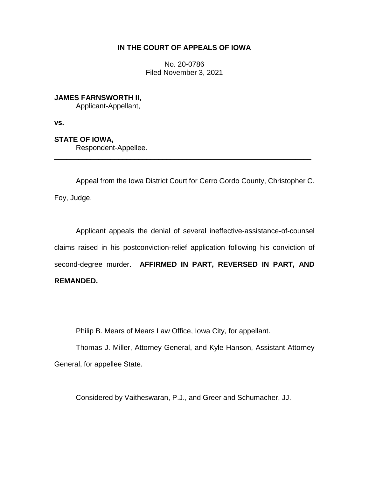# **IN THE COURT OF APPEALS OF IOWA**

No. 20-0786 Filed November 3, 2021

**JAMES FARNSWORTH II,**

Applicant-Appellant,

**vs.**

**STATE OF IOWA,**

Respondent-Appellee.

Appeal from the Iowa District Court for Cerro Gordo County, Christopher C. Foy, Judge.

\_\_\_\_\_\_\_\_\_\_\_\_\_\_\_\_\_\_\_\_\_\_\_\_\_\_\_\_\_\_\_\_\_\_\_\_\_\_\_\_\_\_\_\_\_\_\_\_\_\_\_\_\_\_\_\_\_\_\_\_\_\_\_\_

Applicant appeals the denial of several ineffective-assistance-of-counsel claims raised in his postconviction-relief application following his conviction of second-degree murder. **AFFIRMED IN PART, REVERSED IN PART, AND REMANDED.**

Philip B. Mears of Mears Law Office, Iowa City, for appellant.

Thomas J. Miller, Attorney General, and Kyle Hanson, Assistant Attorney General, for appellee State.

Considered by Vaitheswaran, P.J., and Greer and Schumacher, JJ.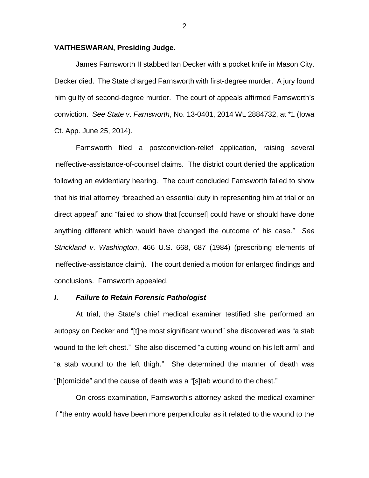#### **VAITHESWARAN, Presiding Judge.**

James Farnsworth II stabbed Ian Decker with a pocket knife in Mason City. Decker died. The State charged Farnsworth with first-degree murder. A jury found him guilty of second-degree murder. The court of appeals affirmed Farnsworth's conviction. *See State v*. *Farnsworth*, No. 13-0401, 2014 WL 2884732, at \*1 (Iowa Ct. App. June 25, 2014).

Farnsworth filed a postconviction-relief application, raising several ineffective-assistance-of-counsel claims. The district court denied the application following an evidentiary hearing. The court concluded Farnsworth failed to show that his trial attorney "breached an essential duty in representing him at trial or on direct appeal" and "failed to show that [counsel] could have or should have done anything different which would have changed the outcome of his case." *See Strickland v*. *Washington*, 466 U.S. 668, 687 (1984) (prescribing elements of ineffective-assistance claim). The court denied a motion for enlarged findings and conclusions. Farnsworth appealed.

# *I***.** *Failure to Retain Forensic Pathologist*

At trial, the State's chief medical examiner testified she performed an autopsy on Decker and "[t]he most significant wound" she discovered was "a stab wound to the left chest." She also discerned "a cutting wound on his left arm" and "a stab wound to the left thigh." She determined the manner of death was "[h]omicide" and the cause of death was a "[s]tab wound to the chest."

On cross-examination, Farnsworth's attorney asked the medical examiner if "the entry would have been more perpendicular as it related to the wound to the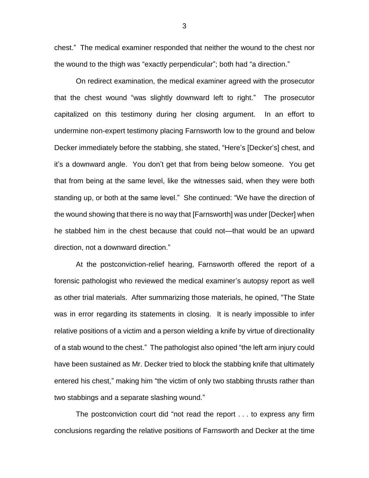chest." The medical examiner responded that neither the wound to the chest nor the wound to the thigh was "exactly perpendicular"; both had "a direction."

On redirect examination, the medical examiner agreed with the prosecutor that the chest wound "was slightly downward left to right." The prosecutor capitalized on this testimony during her closing argument. In an effort to undermine non-expert testimony placing Farnsworth low to the ground and below Decker immediately before the stabbing, she stated, "Here's [Decker's] chest, and it's a downward angle. You don't get that from being below someone. You get that from being at the same level, like the witnesses said, when they were both standing up, or both at the same level." She continued: "We have the direction of the wound showing that there is no way that [Farnsworth] was under [Decker] when he stabbed him in the chest because that could not—that would be an upward direction, not a downward direction."

At the postconviction-relief hearing, Farnsworth offered the report of a forensic pathologist who reviewed the medical examiner's autopsy report as well as other trial materials. After summarizing those materials, he opined, "The State was in error regarding its statements in closing. It is nearly impossible to infer relative positions of a victim and a person wielding a knife by virtue of directionality of a stab wound to the chest." The pathologist also opined "the left arm injury could have been sustained as Mr. Decker tried to block the stabbing knife that ultimately entered his chest," making him "the victim of only two stabbing thrusts rather than two stabbings and a separate slashing wound."

The postconviction court did "not read the report . . . to express any firm conclusions regarding the relative positions of Farnsworth and Decker at the time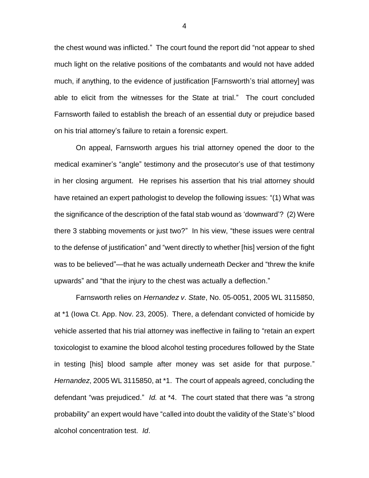the chest wound was inflicted." The court found the report did "not appear to shed much light on the relative positions of the combatants and would not have added much, if anything, to the evidence of justification [Farnsworth's trial attorney] was able to elicit from the witnesses for the State at trial." The court concluded Farnsworth failed to establish the breach of an essential duty or prejudice based on his trial attorney's failure to retain a forensic expert.

On appeal, Farnsworth argues his trial attorney opened the door to the medical examiner's "angle" testimony and the prosecutor's use of that testimony in her closing argument. He reprises his assertion that his trial attorney should have retained an expert pathologist to develop the following issues: "(1) What was the significance of the description of the fatal stab wound as 'downward'? (2) Were there 3 stabbing movements or just two?" In his view, "these issues were central to the defense of justification" and "went directly to whether [his] version of the fight was to be believed"—that he was actually underneath Decker and "threw the knife upwards" and "that the injury to the chest was actually a deflection."

Farnsworth relies on *Hernandez v*. *State*, No. 05-0051, 2005 WL 3115850, at \*1 (Iowa Ct. App. Nov. 23, 2005). There, a defendant convicted of homicide by vehicle asserted that his trial attorney was ineffective in failing to "retain an expert toxicologist to examine the blood alcohol testing procedures followed by the State in testing [his] blood sample after money was set aside for that purpose." *Hernandez*, 2005 WL 3115850, at \*1. The court of appeals agreed, concluding the defendant "was prejudiced." *Id.* at \*4. The court stated that there was "a strong probability" an expert would have "called into doubt the validity of the State's" blood alcohol concentration test. *Id*.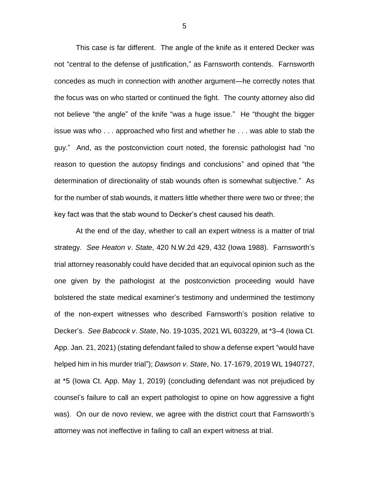This case is far different. The angle of the knife as it entered Decker was not "central to the defense of justification," as Farnsworth contends. Farnsworth concedes as much in connection with another argument—he correctly notes that the focus was on who started or continued the fight. The county attorney also did not believe "the angle" of the knife "was a huge issue." He "thought the bigger issue was who . . . approached who first and whether he . . . was able to stab the guy." And, as the postconviction court noted, the forensic pathologist had "no reason to question the autopsy findings and conclusions" and opined that "the determination of directionality of stab wounds often is somewhat subjective." As for the number of stab wounds, it matters little whether there were two or three; the key fact was that the stab wound to Decker's chest caused his death.

At the end of the day, whether to call an expert witness is a matter of trial strategy. *See Heaton v*. *State*, 420 N.W.2d 429, 432 (Iowa 1988). Farnsworth's trial attorney reasonably could have decided that an equivocal opinion such as the one given by the pathologist at the postconviction proceeding would have bolstered the state medical examiner's testimony and undermined the testimony of the non-expert witnesses who described Farnsworth's position relative to Decker's. *See Babcock v*. *State*, No. 19-1035, 2021 WL 603229, at \*3–4 (Iowa Ct. App. Jan. 21, 2021) (stating defendant failed to show a defense expert "would have helped him in his murder trial"); *Dawson v*. *State*, No. 17-1679, 2019 WL 1940727, at \*5 (Iowa Ct. App. May 1, 2019) (concluding defendant was not prejudiced by counsel's failure to call an expert pathologist to opine on how aggressive a fight was). On our de novo review, we agree with the district court that Farnsworth's attorney was not ineffective in failing to call an expert witness at trial.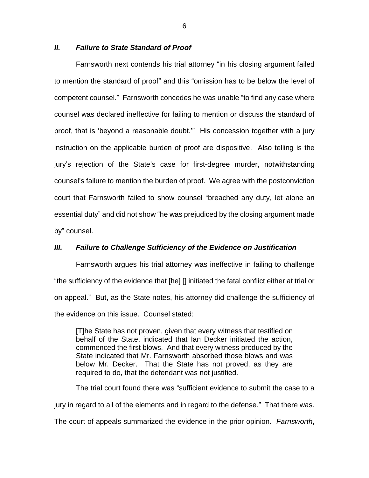# *II. Failure to State Standard of Proof*

Farnsworth next contends his trial attorney "in his closing argument failed to mention the standard of proof" and this "omission has to be below the level of competent counsel." Farnsworth concedes he was unable "to find any case where counsel was declared ineffective for failing to mention or discuss the standard of proof, that is 'beyond a reasonable doubt.'" His concession together with a jury instruction on the applicable burden of proof are dispositive. Also telling is the jury's rejection of the State's case for first-degree murder, notwithstanding counsel's failure to mention the burden of proof. We agree with the postconviction court that Farnsworth failed to show counsel "breached any duty, let alone an essential duty" and did not show "he was prejudiced by the closing argument made by" counsel.

## *III. Failure to Challenge Sufficiency of the Evidence on Justification*

Farnsworth argues his trial attorney was ineffective in failing to challenge "the sufficiency of the evidence that [he] [] initiated the fatal conflict either at trial or on appeal." But, as the State notes, his attorney did challenge the sufficiency of the evidence on this issue. Counsel stated:

[T]he State has not proven, given that every witness that testified on behalf of the State, indicated that Ian Decker initiated the action, commenced the first blows. And that every witness produced by the State indicated that Mr. Farnsworth absorbed those blows and was below Mr. Decker. That the State has not proved, as they are required to do, that the defendant was not justified.

The trial court found there was "sufficient evidence to submit the case to a jury in regard to all of the elements and in regard to the defense." That there was. The court of appeals summarized the evidence in the prior opinion. *Farnsworth*,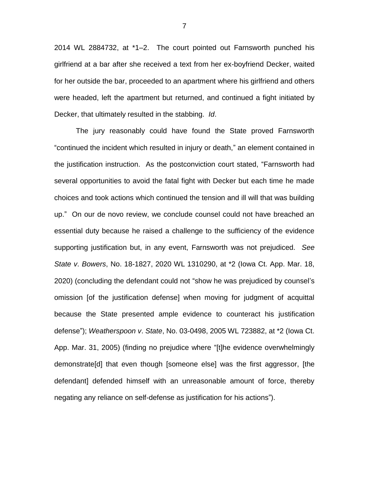2014 WL 2884732, at \*1–2. The court pointed out Farnsworth punched his girlfriend at a bar after she received a text from her ex-boyfriend Decker, waited for her outside the bar, proceeded to an apartment where his girlfriend and others were headed, left the apartment but returned, and continued a fight initiated by Decker, that ultimately resulted in the stabbing. *Id*.

The jury reasonably could have found the State proved Farnsworth "continued the incident which resulted in injury or death," an element contained in the justification instruction. As the postconviction court stated, "Farnsworth had several opportunities to avoid the fatal fight with Decker but each time he made choices and took actions which continued the tension and ill will that was building up." On our de novo review, we conclude counsel could not have breached an essential duty because he raised a challenge to the sufficiency of the evidence supporting justification but, in any event, Farnsworth was not prejudiced. *See State v*. *Bowers*, No. 18-1827, 2020 WL 1310290, at \*2 (Iowa Ct. App. Mar. 18, 2020) (concluding the defendant could not "show he was prejudiced by counsel's omission [of the justification defense] when moving for judgment of acquittal because the State presented ample evidence to counteract his justification defense"); *Weatherspoon v*. *State*, No. 03-0498, 2005 WL 723882, at \*2 (Iowa Ct. App. Mar. 31, 2005) (finding no prejudice where "[t]he evidence overwhelmingly demonstrate[d] that even though [someone else] was the first aggressor, [the defendant] defended himself with an unreasonable amount of force, thereby negating any reliance on self-defense as justification for his actions").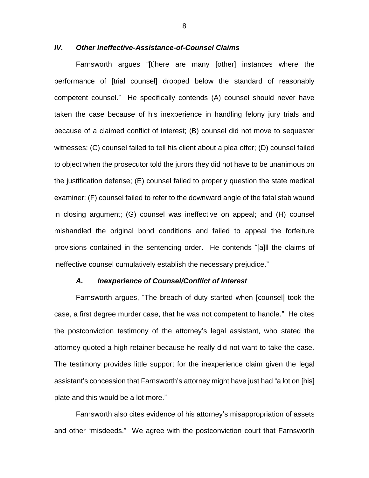# *IV. Other Ineffective-Assistance-of-Counsel Claims*

Farnsworth argues "[t]here are many [other] instances where the performance of [trial counsel] dropped below the standard of reasonably competent counsel." He specifically contends (A) counsel should never have taken the case because of his inexperience in handling felony jury trials and because of a claimed conflict of interest; (B) counsel did not move to sequester witnesses; (C) counsel failed to tell his client about a plea offer; (D) counsel failed to object when the prosecutor told the jurors they did not have to be unanimous on the justification defense; (E) counsel failed to properly question the state medical examiner; (F) counsel failed to refer to the downward angle of the fatal stab wound in closing argument; (G) counsel was ineffective on appeal; and (H) counsel mishandled the original bond conditions and failed to appeal the forfeiture provisions contained in the sentencing order. He contends "[a]ll the claims of ineffective counsel cumulatively establish the necessary prejudice."

#### *A. Inexperience of Counsel/Conflict of Interest*

Farnsworth argues, "The breach of duty started when [counsel] took the case, a first degree murder case, that he was not competent to handle."He cites the postconviction testimony of the attorney's legal assistant, who stated the attorney quoted a high retainer because he really did not want to take the case. The testimony provides little support for the inexperience claim given the legal assistant's concession that Farnsworth's attorney might have just had "a lot on [his] plate and this would be a lot more."

Farnsworth also cites evidence of his attorney's misappropriation of assets and other "misdeeds." We agree with the postconviction court that Farnsworth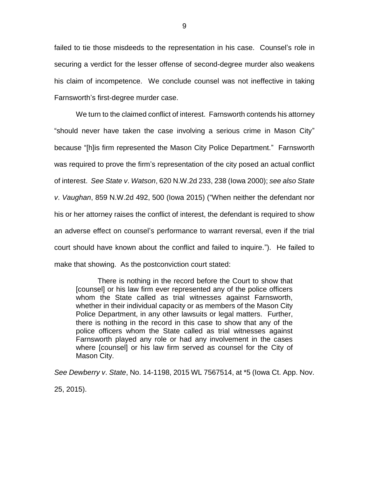failed to tie those misdeeds to the representation in his case.Counsel's role in securing a verdict for the lesser offense of second-degree murder also weakens his claim of incompetence. We conclude counsel was not ineffective in taking Farnsworth's first-degree murder case.

We turn to the claimed conflict of interest. Farnsworth contends his attorney "should never have taken the case involving a serious crime in Mason City" because "[h]is firm represented the Mason City Police Department." Farnsworth was required to prove the firm's representation of the city posed an actual conflict of interest. *See State v*. *Watson*, 620 N.W.2d 233, 238 (Iowa 2000); *see also State v*. *Vaughan*, 859 N.W.2d 492, 500 (Iowa 2015) ("When neither the defendant nor his or her attorney raises the conflict of interest, the defendant is required to show an adverse effect on counsel's performance to warrant reversal, even if the trial court should have known about the conflict and failed to inquire."). He failed to make that showing. As the postconviction court stated:

There is nothing in the record before the Court to show that [counsel] or his law firm ever represented any of the police officers whom the State called as trial witnesses against Farnsworth, whether in their individual capacity or as members of the Mason City Police Department, in any other lawsuits or legal matters. Further, there is nothing in the record in this case to show that any of the police officers whom the State called as trial witnesses against Farnsworth played any role or had any involvement in the cases where [counsel] or his law firm served as counsel for the City of Mason City.

*See Dewberry v*. *State*, No. 14-1198, 2015 WL 7567514, at \*5 (Iowa Ct. App. Nov. 25, 2015).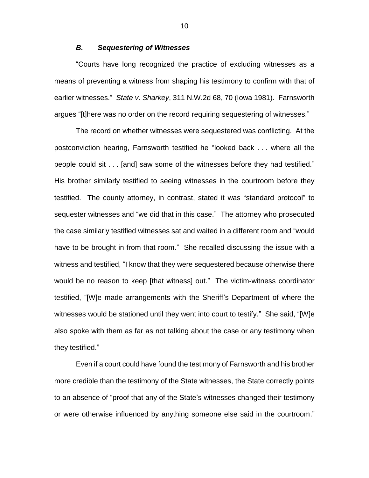## *B. Sequestering of Witnesses*

"Courts have long recognized the practice of excluding witnesses as a means of preventing a witness from shaping his testimony to confirm with that of earlier witnesses." *State v*. *Sharkey*, 311 N.W.2d 68, 70 (Iowa 1981). Farnsworth argues "[t]here was no order on the record requiring sequestering of witnesses."

The record on whether witnesses were sequestered was conflicting. At the postconviction hearing, Farnsworth testified he "looked back . . . where all the people could sit . . . [and] saw some of the witnesses before they had testified." His brother similarly testified to seeing witnesses in the courtroom before they testified. The county attorney, in contrast, stated it was "standard protocol" to sequester witnesses and "we did that in this case." The attorney who prosecuted the case similarly testified witnesses sat and waited in a different room and "would have to be brought in from that room." She recalled discussing the issue with a witness and testified, "I know that they were sequestered because otherwise there would be no reason to keep [that witness] out." The victim-witness coordinator testified, "[W]e made arrangements with the Sheriff's Department of where the witnesses would be stationed until they went into court to testify." She said, "[W]e also spoke with them as far as not talking about the case or any testimony when they testified."

Even if a court could have found the testimony of Farnsworth and his brother more credible than the testimony of the State witnesses, the State correctly points to an absence of "proof that any of the State's witnesses changed their testimony or were otherwise influenced by anything someone else said in the courtroom."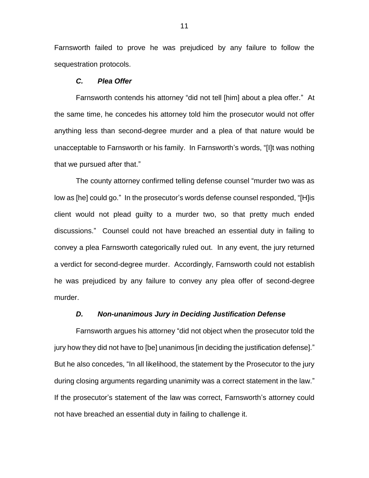Farnsworth failed to prove he was prejudiced by any failure to follow the sequestration protocols.

# *C. Plea Offer*

Farnsworth contends his attorney "did not tell [him] about a plea offer." At the same time, he concedes his attorney told him the prosecutor would not offer anything less than second-degree murder and a plea of that nature would be unacceptable to Farnsworth or his family. In Farnsworth's words, "[I]t was nothing that we pursued after that."

The county attorney confirmed telling defense counsel "murder two was as low as [he] could go." In the prosecutor's words defense counsel responded, "[H]is client would not plead guilty to a murder two, so that pretty much ended discussions." Counsel could not have breached an essential duty in failing to convey a plea Farnsworth categorically ruled out. In any event, the jury returned a verdict for second-degree murder. Accordingly, Farnsworth could not establish he was prejudiced by any failure to convey any plea offer of second-degree murder.

## *D. Non-unanimous Jury in Deciding Justification Defense*

Farnsworth argues his attorney "did not object when the prosecutor told the jury how they did not have to [be] unanimous [in deciding the justification defense]." But he also concedes, "In all likelihood, the statement by the Prosecutor to the jury during closing arguments regarding unanimity was a correct statement in the law." If the prosecutor's statement of the law was correct, Farnsworth's attorney could not have breached an essential duty in failing to challenge it.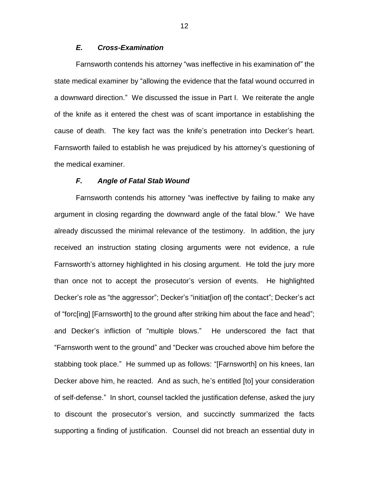# *E. Cross-Examination*

Farnsworth contends his attorney "was ineffective in his examination of" the state medical examiner by "allowing the evidence that the fatal wound occurred in a downward direction." We discussed the issue in Part I. We reiterate the angle of the knife as it entered the chest was of scant importance in establishing the cause of death. The key fact was the knife's penetration into Decker's heart. Farnsworth failed to establish he was prejudiced by his attorney's questioning of the medical examiner.

## *F. Angle of Fatal Stab Wound*

Farnsworth contends his attorney "was ineffective by failing to make any argument in closing regarding the downward angle of the fatal blow." We have already discussed the minimal relevance of the testimony. In addition, the jury received an instruction stating closing arguments were not evidence, a rule Farnsworth's attorney highlighted in his closing argument. He told the jury more than once not to accept the prosecutor's version of events. He highlighted Decker's role as "the aggressor"; Decker's "initiat[ion of] the contact"; Decker's act of "forc[ing] [Farnsworth] to the ground after striking him about the face and head"; and Decker's infliction of "multiple blows." He underscored the fact that "Farnsworth went to the ground" and "Decker was crouched above him before the stabbing took place." He summed up as follows: "[Farnsworth] on his knees, Ian Decker above him, he reacted. And as such, he's entitled [to] your consideration of self-defense." In short, counsel tackled the justification defense, asked the jury to discount the prosecutor's version, and succinctly summarized the facts supporting a finding of justification. Counsel did not breach an essential duty in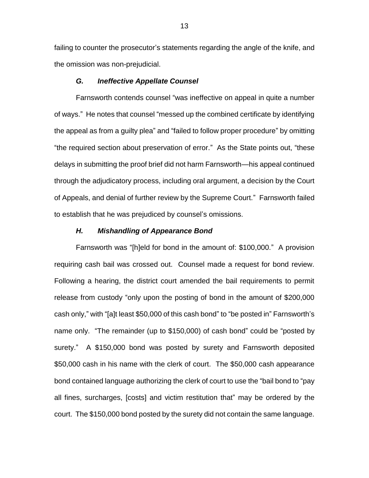failing to counter the prosecutor's statements regarding the angle of the knife, and the omission was non-prejudicial.

## *G. Ineffective Appellate Counsel*

Farnsworth contends counsel "was ineffective on appeal in quite a number of ways." He notes that counsel "messed up the combined certificate by identifying the appeal as from a guilty plea" and "failed to follow proper procedure" by omitting "the required section about preservation of error." As the State points out, "these delays in submitting the proof brief did not harm Farnsworth—his appeal continued through the adjudicatory process, including oral argument, a decision by the Court of Appeals, and denial of further review by the Supreme Court." Farnsworth failed to establish that he was prejudiced by counsel's omissions.

#### *H. Mishandling of Appearance Bond*

Farnsworth was "[h]eld for bond in the amount of: \$100,000." A provision requiring cash bail was crossed out. Counsel made a request for bond review. Following a hearing, the district court amended the bail requirements to permit release from custody "only upon the posting of bond in the amount of \$200,000 cash only," with "[a]t least \$50,000 of this cash bond" to "be posted in" Farnsworth's name only. "The remainder (up to \$150,000) of cash bond" could be "posted by surety." A \$150,000 bond was posted by surety and Farnsworth deposited \$50,000 cash in his name with the clerk of court. The \$50,000 cash appearance bond contained language authorizing the clerk of court to use the "bail bond to "pay all fines, surcharges, [costs] and victim restitution that" may be ordered by the court. The \$150,000 bond posted by the surety did not contain the same language.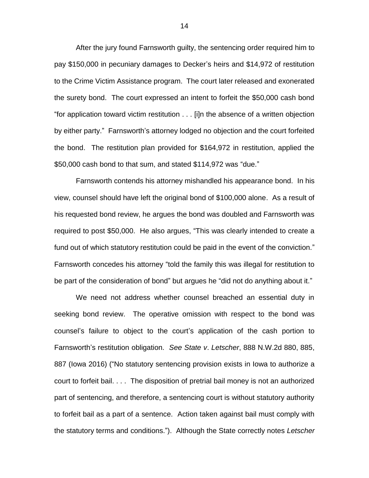After the jury found Farnsworth guilty, the sentencing order required him to pay \$150,000 in pecuniary damages to Decker's heirs and \$14,972 of restitution to the Crime Victim Assistance program. The court later released and exonerated the surety bond. The court expressed an intent to forfeit the \$50,000 cash bond "for application toward victim restitution . . . [i]n the absence of a written objection by either party." Farnsworth's attorney lodged no objection and the court forfeited the bond. The restitution plan provided for \$164,972 in restitution, applied the \$50,000 cash bond to that sum, and stated \$114,972 was "due."

Farnsworth contends his attorney mishandled his appearance bond. In his view, counsel should have left the original bond of \$100,000 alone. As a result of his requested bond review, he argues the bond was doubled and Farnsworth was required to post \$50,000. He also argues, "This was clearly intended to create a fund out of which statutory restitution could be paid in the event of the conviction." Farnsworth concedes his attorney "told the family this was illegal for restitution to be part of the consideration of bond" but argues he "did not do anything about it."

We need not address whether counsel breached an essential duty in seeking bond review. The operative omission with respect to the bond was counsel's failure to object to the court's application of the cash portion to Farnsworth's restitution obligation. *See State v*. *Letscher*, 888 N.W.2d 880, 885, 887 (Iowa 2016) ("No statutory sentencing provision exists in Iowa to authorize a court to forfeit bail. . . . The disposition of pretrial bail money is not an authorized part of sentencing, and therefore, a sentencing court is without statutory authority to forfeit bail as a part of a sentence. Action taken against bail must comply with the statutory terms and conditions."). Although the State correctly notes *Letscher*